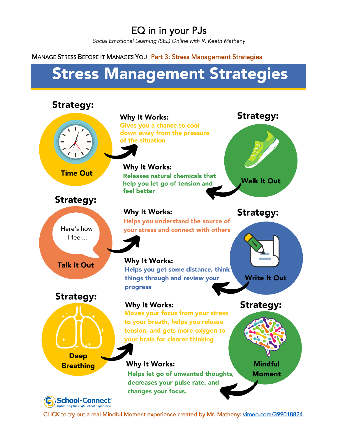# EQ in in your PJs

*Social Emotional Learning (SEL) Online with R. Keeth Matheny*

## MANAGE STRESS BEFORE IT MANAGES YOU Part 3: Stress Management Strategies

# **Stress Management Strategies**



CLICK to try out a real Mindful Moment experience created by Mr. Matheny: vimeo.com/399018824